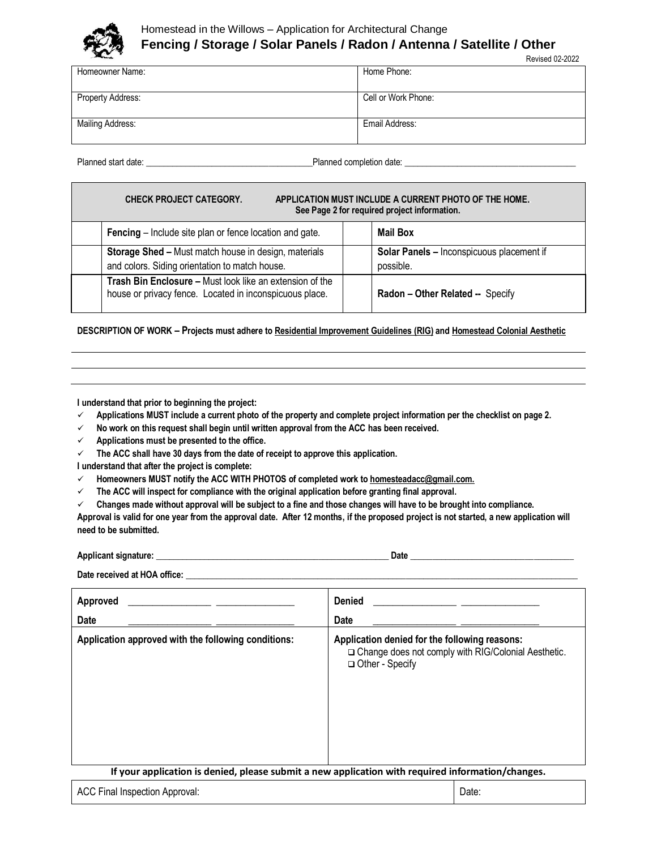

# Homestead in the Willows – Application for Architectural Change **Fencing / Storage / Solar Panels / Radon / Antenna / Satellite / Other**

| <b>Seattle Company of the United States</b> | <b>Revised 02-2022</b> |
|---------------------------------------------|------------------------|
| Homeowner Name:                             | Home Phone:            |
|                                             |                        |
| Property Address:                           | Cell or Work Phone:    |
|                                             |                        |
| Mailing Address:                            | Email Address:         |
|                                             |                        |

Planned start date: \_\_\_\_\_\_\_\_\_\_\_\_\_\_\_\_\_\_\_\_\_\_\_\_\_\_\_\_\_\_\_\_\_\_\_\_\_\_Planned completion date: \_\_\_\_\_\_\_\_\_\_\_\_\_\_\_\_\_\_\_\_\_\_\_\_\_\_\_\_\_\_\_\_\_\_\_\_\_\_\_

| <b>CHECK PROJECT CATEGORY.</b><br>APPLICATION MUST INCLUDE A CURRENT PHOTO OF THE HOME.<br>See Page 2 for required project information. |  |                                                        |
|-----------------------------------------------------------------------------------------------------------------------------------------|--|--------------------------------------------------------|
| Fencing - Include site plan or fence location and gate.                                                                                 |  | <b>Mail Box</b>                                        |
| Storage Shed - Must match house in design, materials<br>and colors. Siding orientation to match house.                                  |  | Solar Panels - Inconspicuous placement if<br>possible. |
| Trash Bin Enclosure - Must look like an extension of the<br>house or privacy fence. Located in inconspicuous place.                     |  | Radon - Other Related -- Specify                       |

**DESCRIPTION OF WORK – Projects must adhere t[o Residential Improvement Guidelines](https://www.homesteadinthewillows.org/residential-improvement-guidelines) (RIG) an[d Homestead Colonial Aesthetic](https://www.homesteadinthewillows.org/homestead-aesthetic)**

**I understand that prior to beginning the project:**

- **Applications MUST include a current photo of the property and complete project information per the checklist on page 2.**
- **No work on this request shall begin until written approval from the ACC has been received.**
- **Applications must be presented to the office.**
- **The ACC shall have 30 days from the date of receipt to approve this application.**

**I understand that after the project is complete:**

- **Homeowners MUST notify the ACC WITH PHOTOS of completed work t[o homesteadacc@gmail.com.](mailto:homesteadacc@gmail.com)**
- **The ACC will inspect for compliance with the original application before granting final approval.**

 **Changes made without approval will be subject to a fine and those changes will have to be brought into compliance. Approval is valid for one year from the approval date. After 12 months, if the proposed project is not started, a new application will need to be submitted.**

Applicant signature: **Example 2018** 

Date received at HOA office:

| Approved<br>Date                                                                                  | <b>Denied</b><br>Date                                                                                                       |  |  |
|---------------------------------------------------------------------------------------------------|-----------------------------------------------------------------------------------------------------------------------------|--|--|
| Application approved with the following conditions:                                               | Application denied for the following reasons:<br>□ Change does not comply with RIG/Colonial Aesthetic.<br>□ Other - Specify |  |  |
| If your application is denied, please submit a new application with required information/changes. |                                                                                                                             |  |  |
| <b>ACC Final Inspection Approval:</b>                                                             | Date:                                                                                                                       |  |  |